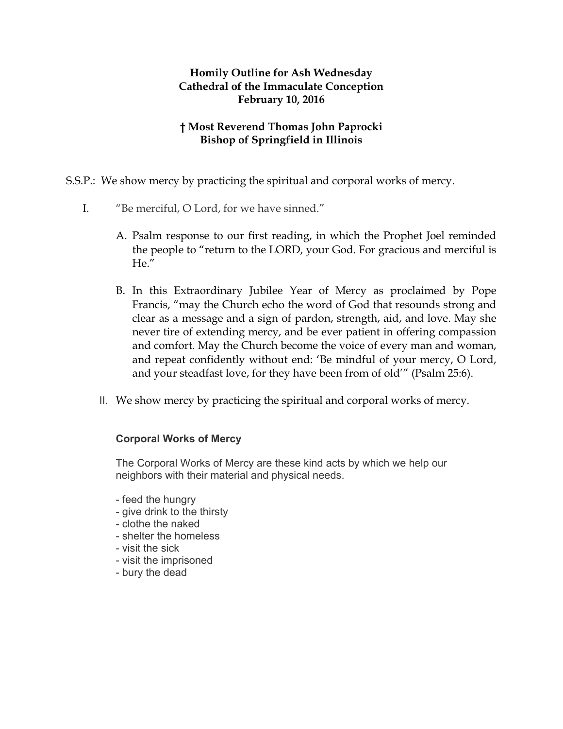## **Homily Outline for Ash Wednesday Cathedral of the Immaculate Conception February 10, 2016**

## **† Most Reverend Thomas John Paprocki Bishop of Springfield in Illinois**

S.S.P.: We show mercy by practicing the spiritual and corporal works of mercy.

- I. "Be merciful, O Lord, for we have sinned."
	- A. Psalm response to our first reading, in which the Prophet Joel reminded the people to "return to the LORD, your God. For gracious and merciful is He."
	- B. In this Extraordinary Jubilee Year of Mercy as proclaimed by Pope Francis, "may the Church echo the word of God that resounds strong and clear as a message and a sign of pardon, strength, aid, and love. May she never tire of extending mercy, and be ever patient in offering compassion and comfort. May the Church become the voice of every man and woman, and repeat confidently without end: 'Be mindful of your mercy, O Lord, and your steadfast love, for they have been from of old'" (Psalm 25:6).
	- II. We show mercy by practicing the spiritual and corporal works of mercy.

## **Corporal Works of Mercy**

The Corporal Works of Mercy are these kind acts by which we help our neighbors with their material and physical needs.

- feed the hungry
- give drink to the thirsty
- clothe the naked
- shelter the homeless
- visit the sick
- visit the imprisoned
- bury the dead